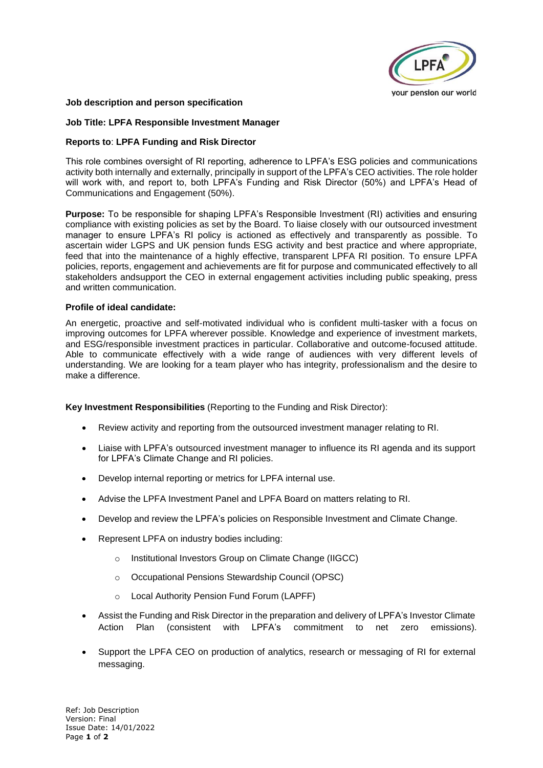

## **Job description and person specification**

### **Job Title: LPFA Responsible Investment Manager**

### **Reports to**: **LPFA Funding and Risk Director**

This role combines oversight of RI reporting, adherence to LPFA's ESG policies and communications activity both internally and externally, principally in support of the LPFA's CEO activities. The role holder will work with, and report to, both LPFA's Funding and Risk Director (50%) and LPFA's Head of Communications and Engagement (50%).

**Purpose:** To be responsible for shaping LPFA's Responsible Investment (RI) activities and ensuring compliance with existing policies as set by the Board. To liaise closely with our outsourced investment manager to ensure LPFA's RI policy is actioned as effectively and transparently as possible. To ascertain wider LGPS and UK pension funds ESG activity and best practice and where appropriate, feed that into the maintenance of a highly effective, transparent LPFA RI position. To ensure LPFA policies, reports, engagement and achievements are fit for purpose and communicated effectively to all stakeholders andsupport the CEO in external engagement activities including public speaking, press and written communication.

### **Profile of ideal candidate:**

An energetic, proactive and self-motivated individual who is confident multi-tasker with a focus on improving outcomes for LPFA wherever possible. Knowledge and experience of investment markets, and ESG/responsible investment practices in particular. Collaborative and outcome-focused attitude. Able to communicate effectively with a wide range of audiences with very different levels of understanding. We are looking for a team player who has integrity, professionalism and the desire to make a difference.

**Key Investment Responsibilities** (Reporting to the Funding and Risk Director):

- Review activity and reporting from the outsourced investment manager relating to RI.
- Liaise with LPFA's outsourced investment manager to influence its RI agenda and its support for LPFA's Climate Change and RI policies.
- Develop internal reporting or metrics for LPFA internal use.
- Advise the LPFA Investment Panel and LPFA Board on matters relating to RI.
- Develop and review the LPFA's policies on Responsible Investment and Climate Change.
- Represent LPFA on industry bodies including:
	- o Institutional Investors Group on Climate Change (IIGCC)
	- o Occupational Pensions Stewardship Council (OPSC)
	- o Local Authority Pension Fund Forum (LAPFF)
- Assist the Funding and Risk Director in the preparation and delivery of LPFA's Investor Climate Action Plan (consistent with LPFA's commitment to net zero emissions).
- Support the LPFA CEO on production of analytics, research or messaging of RI for external messaging.